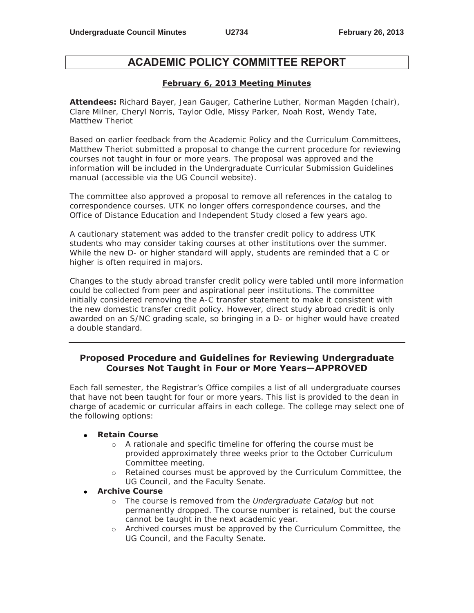# **ACADEMIC POLICY COMMITTEE REPORT**

#### **February 6, 2013 Meeting Minutes**

**Attendees:** Richard Bayer, Jean Gauger, Catherine Luther, Norman Magden (chair), Clare Milner, Cheryl Norris, Taylor Odle, Missy Parker, Noah Rost, Wendy Tate, Matthew Theriot

Based on earlier feedback from the Academic Policy and the Curriculum Committees, Matthew Theriot submitted a proposal to change the current procedure for reviewing courses not taught in four or more years. The proposal was approved and the information will be included in the Undergraduate Curricular Submission Guidelines manual (accessible via the UG Council website).

The committee also approved a proposal to remove all references in the catalog to correspondence courses. UTK no longer offers correspondence courses, and the Office of Distance Education and Independent Study closed a few years ago.

A cautionary statement was added to the transfer credit policy to address UTK students who may consider taking courses at other institutions over the summer. While the new D- or higher standard will apply, students are reminded that a C or higher is often required in majors.

Changes to the study abroad transfer credit policy were tabled until more information could be collected from peer and aspirational peer institutions. The committee initially considered removing the A-C transfer statement to make it consistent with the new domestic transfer credit policy. However, direct study abroad credit is only awarded on an S/NC grading scale, so bringing in a D- or higher would have created a double standard.

### **Proposed Procedure and Guidelines for Reviewing Undergraduate Courses Not Taught in Four or More Years—APPROVED**

Each fall semester, the Registrar's Office compiles a list of all undergraduate courses that have not been taught for four or more years. This list is provided to the dean in charge of academic or curricular affairs in each college. The college may select one of the following options:

#### **Retain Course**

- o A rationale and specific timeline for offering the course must be provided approximately three weeks prior to the October Curriculum Committee meeting.
- o Retained courses must be approved by the Curriculum Committee, the UG Council, and the Faculty Senate.

#### **Archive Course**

- o The course is removed from the *Undergraduate Catalog* but not permanently dropped. The course number is retained, but the course cannot be taught in the next academic year.
- o Archived courses must be approved by the Curriculum Committee, the UG Council, and the Faculty Senate.